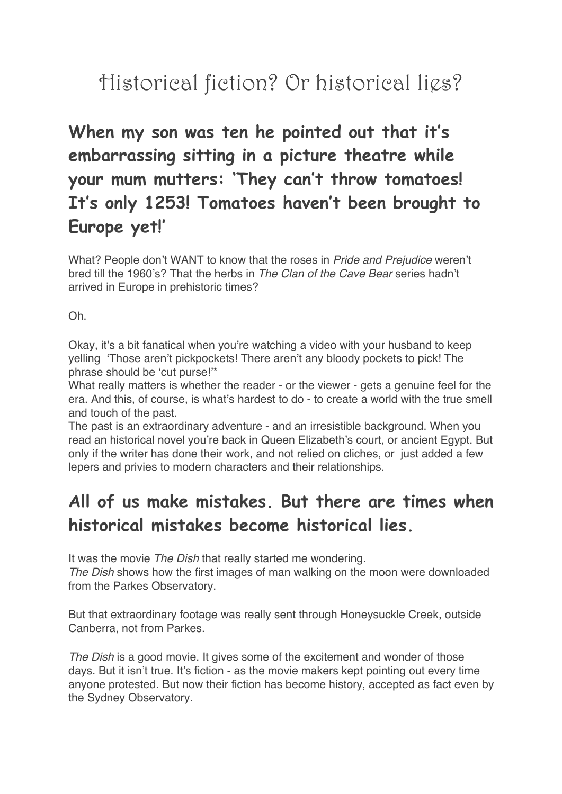# Historical fiction? Or historical lies?

## **When my son was ten he pointed out that it's embarrassing sitting in a picture theatre while your mum mutters: 'They can't throw tomatoes! It's only 1253! Tomatoes haven't been brought to Europe yet!'**

What? People don't WANT to know that the roses in *Pride and Prejudice* weren't bred till the 1960's? That the herbs in *The Clan of the Cave Bear* series hadn't arrived in Europe in prehistoric times?

Oh.

Okay, it's a bit fanatical when you're watching a video with your husband to keep yelling 'Those aren't pickpockets! There aren't any bloody pockets to pick! The phrase should be 'cut purse!'\*

What really matters is whether the reader - or the viewer - gets a genuine feel for the era. And this, of course, is what's hardest to do - to create a world with the true smell and touch of the past.

The past is an extraordinary adventure - and an irresistible background. When you read an historical novel you're back in Queen Elizabeth's court, or ancient Egypt. But only if the writer has done their work, and not relied on cliches, or just added a few lepers and privies to modern characters and their relationships.

#### **All of us make mistakes. But there are times when historical mistakes become historical lies.**

It was the movie *The Dish* that really started me wondering. *The Dish* shows how the first images of man walking on the moon were downloaded from the Parkes Observatory.

But that extraordinary footage was really sent through Honeysuckle Creek, outside Canberra, not from Parkes.

*The Dish* is a good movie. It gives some of the excitement and wonder of those days. But it isn't true. It's fiction - as the movie makers kept pointing out every time anyone protested. But now their fiction has become history, accepted as fact even by the Sydney Observatory.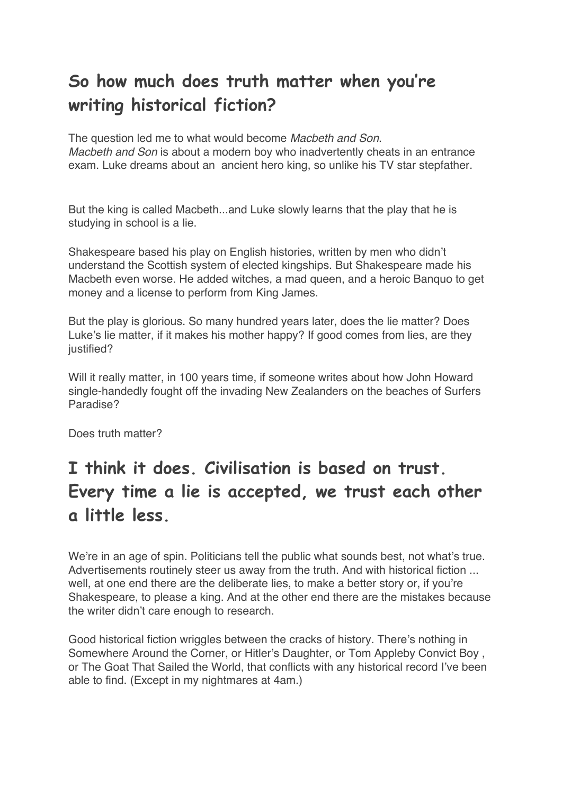#### **So how much does truth matter when you're writing historical fiction?**

The question led me to what would become *Macbeth and Son*. *Macbeth and Son* is about a modern boy who inadvertently cheats in an entrance exam. Luke dreams about an ancient hero king, so unlike his TV star stepfather.

But the king is called Macbeth...and Luke slowly learns that the play that he is studying in school is a lie.

Shakespeare based his play on English histories, written by men who didn't understand the Scottish system of elected kingships. But Shakespeare made his Macbeth even worse. He added witches, a mad queen, and a heroic Banquo to get money and a license to perform from King James.

But the play is glorious. So many hundred years later, does the lie matter? Does Luke's lie matter, if it makes his mother happy? If good comes from lies, are they justified?

Will it really matter, in 100 years time, if someone writes about how John Howard single-handedly fought off the invading New Zealanders on the beaches of Surfers Paradise?

Does truth matter?

### **I think it does. Civilisation is based on trust. Every time a lie is accepted, we trust each other a little less.**

We're in an age of spin. Politicians tell the public what sounds best, not what's true. Advertisements routinely steer us away from the truth. And with historical fiction ... well, at one end there are the deliberate lies, to make a better story or, if you're Shakespeare, to please a king. And at the other end there are the mistakes because the writer didn't care enough to research.

Good historical fiction wriggles between the cracks of history. There's nothing in Somewhere Around the Corner, or Hitler's Daughter, or Tom Appleby Convict Boy , or The Goat That Sailed the World, that conflicts with any historical record I've been able to find. (Except in my nightmares at 4am.)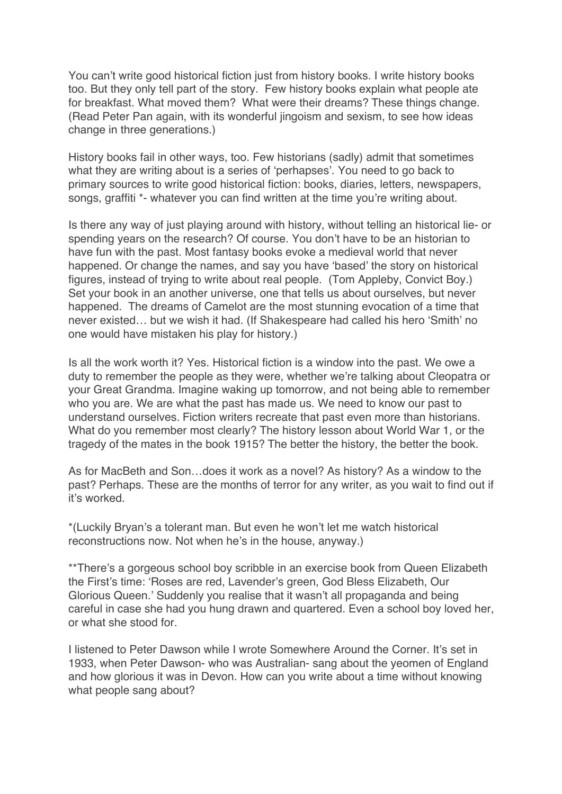You can't write good historical fiction just from history books. I write history books too. But they only tell part of the story. Few history books explain what people ate for breakfast. What moved them? What were their dreams? These things change. (Read Peter Pan again, with its wonderful jingoism and sexism, to see how ideas change in three generations.)

History books fail in other ways, too. Few historians (sadly) admit that sometimes what they are writing about is a series of 'perhapses'. You need to go back to primary sources to write good historical fiction: books, diaries, letters, newspapers, songs, graffiti \*- whatever you can find written at the time you're writing about.

Is there any way of just playing around with history, without telling an historical lie- or spending years on the research? Of course. You don't have to be an historian to have fun with the past. Most fantasy books evoke a medieval world that never happened. Or change the names, and say you have 'based' the story on historical figures, instead of trying to write about real people. (Tom Appleby, Convict Boy.) Set your book in an another universe, one that tells us about ourselves, but never happened. The dreams of Camelot are the most stunning evocation of a time that never existed… but we wish it had. (If Shakespeare had called his hero 'Smith' no one would have mistaken his play for history.)

Is all the work worth it? Yes. Historical fiction is a window into the past. We owe a duty to remember the people as they were, whether we're talking about Cleopatra or your Great Grandma. Imagine waking up tomorrow, and not being able to remember who you are. We are what the past has made us. We need to know our past to understand ourselves. Fiction writers recreate that past even more than historians. What do you remember most clearly? The history lesson about World War 1, or the tragedy of the mates in the book 1915? The better the history, the better the book.

As for MacBeth and Son…does it work as a novel? As history? As a window to the past? Perhaps. These are the months of terror for any writer, as you wait to find out if it's worked.

\*(Luckily Bryan's a tolerant man. But even he won't let me watch historical reconstructions now. Not when he's in the house, anyway.)

\*\*There's a gorgeous school boy scribble in an exercise book from Queen Elizabeth the First's time: 'Roses are red, Lavender's green, God Bless Elizabeth, Our Glorious Queen.' Suddenly you realise that it wasn't all propaganda and being careful in case she had you hung drawn and quartered. Even a school boy loved her, or what she stood for.

I listened to Peter Dawson while I wrote Somewhere Around the Corner. It's set in 1933, when Peter Dawson- who was Australian- sang about the yeomen of England and how glorious it was in Devon. How can you write about a time without knowing what people sang about?